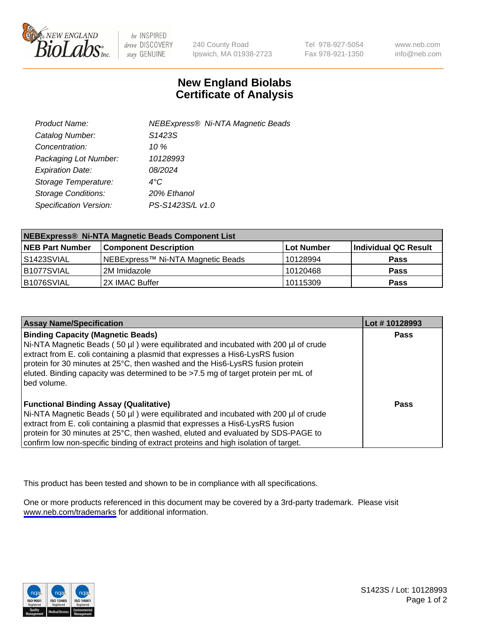

be INSPIRED drive DISCOVERY stay GENUINE

240 County Road Ipswich, MA 01938-2723 Tel 978-927-5054 Fax 978-921-1350

www.neb.com info@neb.com

## **New England Biolabs Certificate of Analysis**

| Product Name:              | NEBExpress® Ni-NTA Magnetic Beads |
|----------------------------|-----------------------------------|
| Catalog Number:            | S1423S                            |
| Concentration:             | 10 $%$                            |
| Packaging Lot Number:      | 10128993                          |
| <b>Expiration Date:</b>    | 08/2024                           |
| Storage Temperature:       | $4^{\circ}$ C                     |
| <b>Storage Conditions:</b> | 20% Ethanol                       |
| Specification Version:     | PS-S1423S/L v1.0                  |
|                            |                                   |

| NEBExpress® Ni-NTA Magnetic Beads Component List |                                   |                   |                      |  |
|--------------------------------------------------|-----------------------------------|-------------------|----------------------|--|
| <b>NEB Part Number</b>                           | <b>Component Description</b>      | <b>Lot Number</b> | Individual QC Result |  |
| l S1423SVIAL                                     | NEBExpress™ Ni-NTA Magnetic Beads | 10128994          | <b>Pass</b>          |  |
| B1077SVIAL                                       | l 2M Imidazole.                   | 10120468          | <b>Pass</b>          |  |
| B1076SVIAL                                       | 2X IMAC Buffer                    | 10115309          | <b>Pass</b>          |  |

| <b>Assay Name/Specification</b>                                                                                                                                                                                                                                                                                                                                                                     | Lot #10128993 |
|-----------------------------------------------------------------------------------------------------------------------------------------------------------------------------------------------------------------------------------------------------------------------------------------------------------------------------------------------------------------------------------------------------|---------------|
| <b>Binding Capacity (Magnetic Beads)</b><br>Ni-NTA Magnetic Beads (50 µl) were equilibrated and incubated with 200 µl of crude<br>extract from E. coli containing a plasmid that expresses a His6-LysRS fusion<br>protein for 30 minutes at 25°C, then washed and the His6-LysRS fusion protein<br>eluted. Binding capacity was determined to be >7.5 mg of target protein per mL of<br>bed volume. | <b>Pass</b>   |
| <b>Functional Binding Assay (Qualitative)</b><br>Ni-NTA Magnetic Beads (50 µl) were equilibrated and incubated with 200 µl of crude<br>extract from E. coli containing a plasmid that expresses a His6-LysRS fusion<br>protein for 30 minutes at 25°C, then washed, eluted and evaluated by SDS-PAGE to<br>confirm low non-specific binding of extract proteins and high isolation of target.       | Pass          |

This product has been tested and shown to be in compliance with all specifications.

One or more products referenced in this document may be covered by a 3rd-party trademark. Please visit <www.neb.com/trademarks>for additional information.